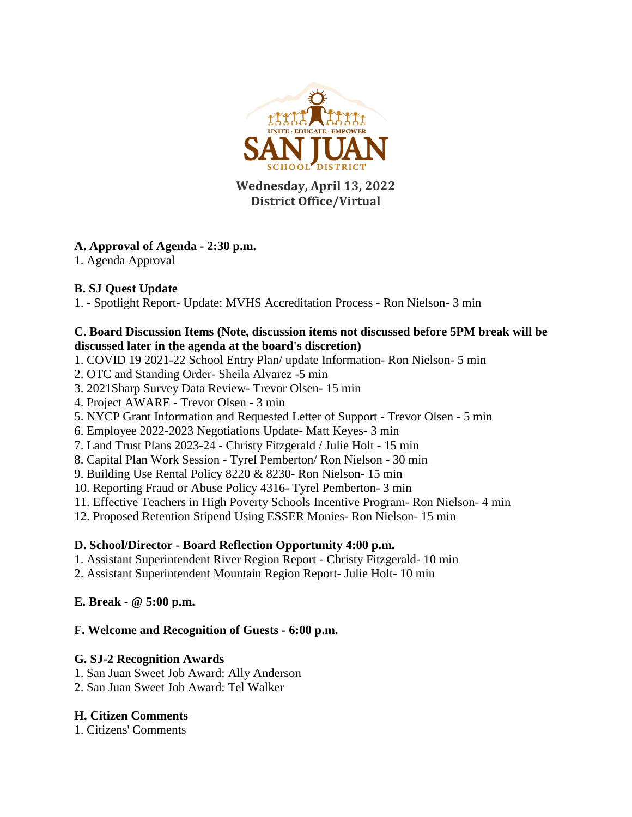

**Wednesday, April 13, 2022 District Office/Virtual**

## **A. Approval of Agenda - 2:30 p.m.**

1. Agenda Approval

#### **B. SJ Quest Update**

1. - Spotlight Report- Update: MVHS Accreditation Process - Ron Nielson- 3 min

#### **C. Board Discussion Items (Note, discussion items not discussed before 5PM break will be discussed later in the agenda at the board's discretion)**

- 1. COVID 19 2021-22 School Entry Plan/ update Information- Ron Nielson- 5 min
- 2. OTC and Standing Order- Sheila Alvarez -5 min
- 3. 2021Sharp Survey Data Review- Trevor Olsen- 15 min
- 4. Project AWARE Trevor Olsen 3 min
- 5. NYCP Grant Information and Requested Letter of Support Trevor Olsen 5 min
- 6. Employee 2022-2023 Negotiations Update- Matt Keyes- 3 min
- 7. Land Trust Plans 2023-24 Christy Fitzgerald / Julie Holt 15 min
- 8. Capital Plan Work Session Tyrel Pemberton/ Ron Nielson 30 min
- 9. Building Use Rental Policy 8220 & 8230- Ron Nielson- 15 min
- 10. Reporting Fraud or Abuse Policy 4316- Tyrel Pemberton- 3 min
- 11. Effective Teachers in High Poverty Schools Incentive Program- Ron Nielson- 4 min
- 12. Proposed Retention Stipend Using ESSER Monies- Ron Nielson- 15 min

## **D. School/Director - Board Reflection Opportunity 4:00 p.m.**

- 1. Assistant Superintendent River Region Report Christy Fitzgerald- 10 min
- 2. Assistant Superintendent Mountain Region Report- Julie Holt- 10 min

## **E. Break - @ 5:00 p.m.**

## **F. Welcome and Recognition of Guests - 6:00 p.m.**

## **G. SJ-2 Recognition Awards**

- 1. San Juan Sweet Job Award: Ally Anderson
- 2. San Juan Sweet Job Award: Tel Walker

## **H. Citizen Comments**

1. Citizens' Comments